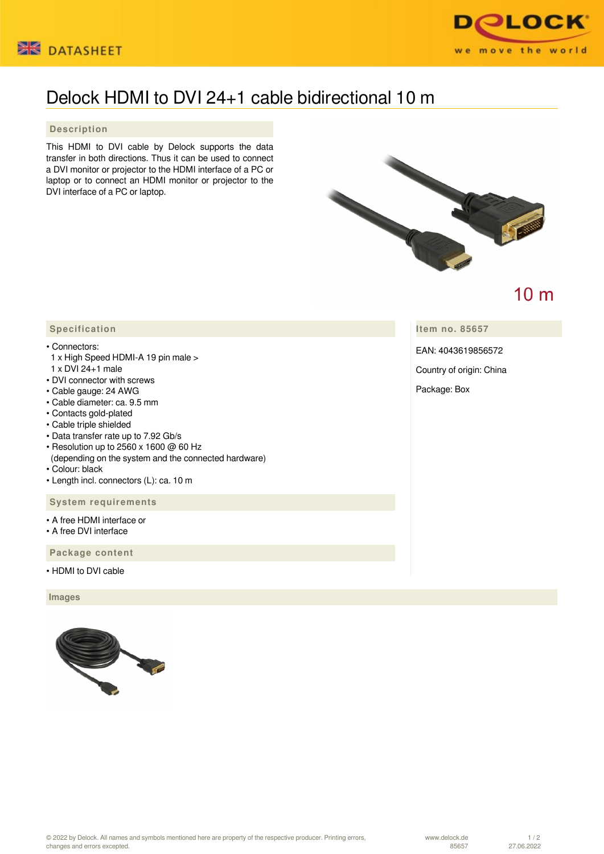



## Delock HDMI to DVI 24+1 cable bidirectional 10 m

## **Description**

This HDMI to DVI cable by Delock supports the data transfer in both directions. Thus it can be used to connect a DVI monitor or projector to the HDMI interface of a PC or laptop or to connect an HDMI monitor or projector to the DVI interface of a PC or laptop.



 $10<sub>m</sub>$ 

**Item no. 85657**

EAN: 4043619856572

Country of origin: China

Package: Box

## **Specification**

## • Connectors:

- 1 x High Speed HDMI-A 19 pin male > 1 x DVI 24+1 male
- DVI connector with screws
- Cable gauge: 24 AWG
- Cable diameter: ca. 9.5 mm
- Contacts gold-plated
- Cable triple shielded
- Data transfer rate up to 7.92 Gb/s
- Resolution up to 2560 x 1600 @ 60 Hz
- (depending on the system and the connected hardware)
- Colour: black
- Length incl. connectors (L): ca. 10 m

 **System requirements**

- A free HDMI interface or
- A free DVI interface

 **Package content**

• HDMI to DVI cable

 **Images**